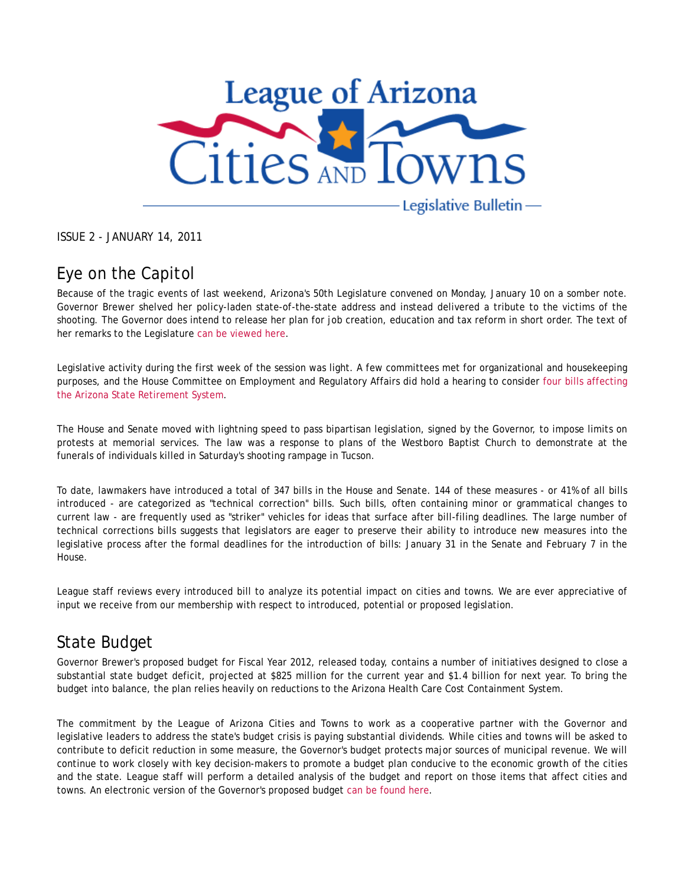

ISSUE 2 - JANUARY 14, 2011

# Eye on the Capitol

Because of the tragic events of last weekend, Arizona's 50th Legislature convened on Monday, January 10 on a somber note. Governor Brewer shelved her policy-laden state-of-the-state address and instead delivered a tribute to the victims of the shooting. The Governor does intend to release her plan for job creation, education and tax reform in short order. The text of her remarks to the Legislature can be viewed here.

Legislative activity during the first week of the session was light. A few committees met for organizational and housekeeping purposes, and the House Committee on Employment and Regulatory Affairs did hold a hearing to consider four bills affecting the Arizona State Retirement System.

The House and Senate moved with lightning speed to pass bipartisan legislation, signed by the Governor, to impose limits on protests at memorial services. The law was a response to plans of the Westboro Baptist Church to demonstrate at the funerals of individuals killed in Saturday's shooting rampage in Tucson.

To date, lawmakers have introduced a total of 347 bills in the House and Senate. 144 of these measures - or 41% of all bills introduced - are categorized as "technical correction" bills. Such bills, often containing minor or grammatical changes to current law - are frequently used as "striker" vehicles for ideas that surface after bill-filing deadlines. The large number of technical corrections bills suggests that legislators are eager to preserve their ability to introduce new measures into the legislative process after the formal deadlines for the introduction of bills: January 31 in the Senate and February 7 in the House.

League staff reviews every introduced bill to analyze its potential impact on cities and towns. We are ever appreciative of input we receive from our membership with respect to introduced, potential or proposed legislation.

## State Budget

Governor Brewer's proposed budget for Fiscal Year 2012, released today, contains a number of initiatives designed to close a substantial state budget deficit, projected at \$825 million for the current year and \$1.4 billion for next year. To bring the budget into balance, the plan relies heavily on reductions to the Arizona Health Care Cost Containment System.

The commitment by the League of Arizona Cities and Towns to work as a cooperative partner with the Governor and legislative leaders to address the state's budget crisis is paying substantial dividends. While cities and towns will be asked to contribute to deficit reduction in some measure, the Governor's budget protects major sources of municipal revenue. We will continue to work closely with key decision-makers to promote a budget plan conducive to the economic growth of the cities and the state. League staff will perform a detailed analysis of the budget and report on those items that affect cities and towns. An electronic version of the Governor's proposed budget can be found here.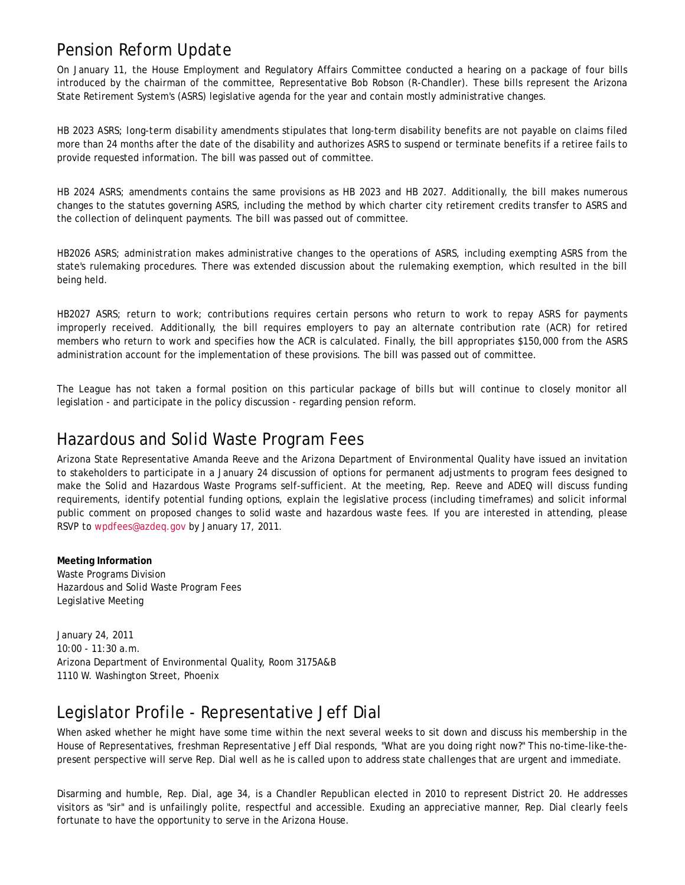## Pension Reform Update

On January 11, the House Employment and Regulatory Affairs Committee conducted a hearing on a package of four bills introduced by the chairman of the committee, Representative Bob Robson (R-Chandler). These bills represent the Arizona State Retirement System's (ASRS) legislative agenda for the year and contain mostly administrative changes.

*HB 2023 ASRS; long-term disability amendments* stipulates that long-term disability benefits are not payable on claims filed more than 24 months after the date of the disability and authorizes ASRS to suspend or terminate benefits if a retiree fails to provide requested information. The bill was passed out of committee.

*HB 2024 ASRS; amendments* contains the same provisions as HB 2023 and HB 2027. Additionally, the bill makes numerous changes to the statutes governing ASRS, including the method by which charter city retirement credits transfer to ASRS and the collection of delinquent payments. The bill was passed out of committee.

*HB2026 ASRS; administration* makes administrative changes to the operations of ASRS, including exempting ASRS from the state's rulemaking procedures. There was extended discussion about the rulemaking exemption, which resulted in the bill being held.

*HB2027 ASRS; return to work; contributions* requires certain persons who return to work to repay ASRS for payments improperly received. Additionally, the bill requires employers to pay an alternate contribution rate (ACR) for retired members who return to work and specifies how the ACR is calculated. Finally, the bill appropriates \$150,000 from the ASRS administration account for the implementation of these provisions. The bill was passed out of committee.

The League has not taken a formal position on this particular package of bills but will continue to closely monitor all legislation - and participate in the policy discussion - regarding pension reform.

#### Hazardous and Solid Waste Program Fees

Arizona State Representative Amanda Reeve and the Arizona Department of Environmental Quality have issued an invitation to stakeholders to participate in a January 24 discussion of options for permanent adjustments to program fees designed to make the Solid and Hazardous Waste Programs self-sufficient. At the meeting, Rep. Reeve and ADEQ will discuss funding requirements, identify potential funding options, explain the legislative process (including timeframes) and solicit informal public comment on proposed changes to solid waste and hazardous waste fees. If you are interested in attending, please RSVP to wpdfees@azdeq.gov by January 17, 2011.

**Meeting Information** Waste Programs Division Hazardous and Solid Waste Program Fees Legislative Meeting

January 24, 2011 10:00 - 11:30 a.m. Arizona Department of Environmental Quality, Room 3175A&B 1110 W. Washington Street, Phoenix

## Legislator Profile - Representative Jeff Dial

When asked whether he might have some time within the next several weeks to sit down and discuss his membership in the House of Representatives, freshman Representative Jeff Dial responds, "What are you doing right now?" This no-time-like-thepresent perspective will serve Rep. Dial well as he is called upon to address state challenges that are urgent and immediate.

Disarming and humble, Rep. Dial, age 34, is a Chandler Republican elected in 2010 to represent District 20. He addresses visitors as "sir" and is unfailingly polite, respectful and accessible. Exuding an appreciative manner, Rep. Dial clearly feels fortunate to have the opportunity to serve in the Arizona House.